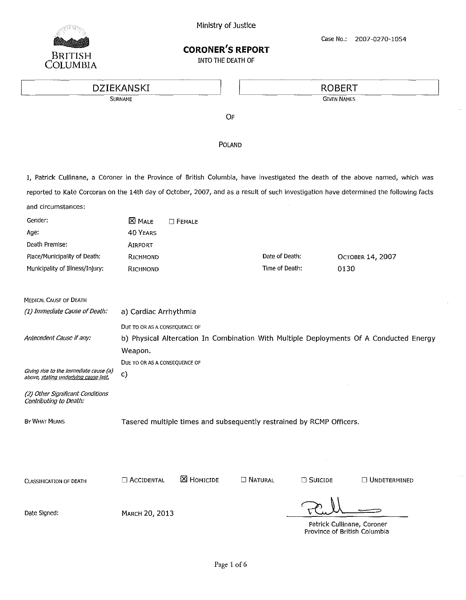

Case No.: 2007-0270-1054

# CORONER'S REPORT

INTO THE DEATH OF

# EULOMBIA<br>DZIEKANSKI ROBERT **EXAMPLE ANS DESCRIPTION OF A SURNAME SURNAME SURNAME CONCERNAME SURNAME**

OF

POLAND

I, Patrick Cullinane, a Coroner in the Province of British Columbia, have investigated the death of the above named, which was reported to Kate Corcoran on the 14th day of October, 2007, and as a result of such investigation have determined the following facts and circumstances:

| Gender:                                                                         | <b>X</b> MALE                                                                          | <b>E</b> FEMALE   |                  |                  |                     |
|---------------------------------------------------------------------------------|----------------------------------------------------------------------------------------|-------------------|------------------|------------------|---------------------|
| Age:                                                                            | <b>40 YEARS</b>                                                                        |                   |                  |                  |                     |
| Death Premise:                                                                  | <b>AIRPORT</b>                                                                         |                   |                  |                  |                     |
| Place/Municipality of Death:                                                    | RICHMOND                                                                               |                   | Date of Death:   |                  | Остовек 14, 2007    |
| Municipality of Illness/Injury:                                                 | RICHMOND                                                                               |                   | Time of Death:   |                  | 0130                |
| MEDICAL CAUSE OF DEATH                                                          |                                                                                        |                   |                  |                  |                     |
| (1) Immediate Cause of Death:                                                   | a) Cardiac Arrhythmia                                                                  |                   |                  |                  |                     |
|                                                                                 | DUE TO OR AS A CONSEQUENCE OF                                                          |                   |                  |                  |                     |
| Antecedent Cause if any:                                                        | b) Physical Altercation In Combination With Multiple Deployments Of A Conducted Energy |                   |                  |                  |                     |
|                                                                                 | Weapon.                                                                                |                   |                  |                  |                     |
|                                                                                 | DUE TO OR AS A CONSEQUENCE OF                                                          |                   |                  |                  |                     |
| Giving rise to the immediate cause (a)<br>above, stating underlying cause last. | c)                                                                                     |                   |                  |                  |                     |
| (2) Other Significant Conditions                                                |                                                                                        |                   |                  |                  |                     |
| Contributing to Death:                                                          |                                                                                        |                   |                  |                  |                     |
| BY WHAT MEANS                                                                   | Tasered multiple times and subsequently restrained by RCMP Officers.                   |                   |                  |                  |                     |
|                                                                                 |                                                                                        |                   |                  |                  |                     |
|                                                                                 |                                                                                        |                   |                  |                  |                     |
|                                                                                 |                                                                                        |                   |                  |                  |                     |
|                                                                                 |                                                                                        | <b>X</b> HOMICIDE | <b>C NATURAL</b> |                  |                     |
| <b>CLASSIFICATION OF DEATH</b>                                                  | <b>ACCIDENTAL</b>                                                                      |                   |                  | <b>E</b> Suicide | $\Box$ UNDETERMINED |
|                                                                                 |                                                                                        |                   |                  | V                |                     |

Date Signed: MARCH 20, 2013

Patrick Cullinane, Coroner Province of British Columbia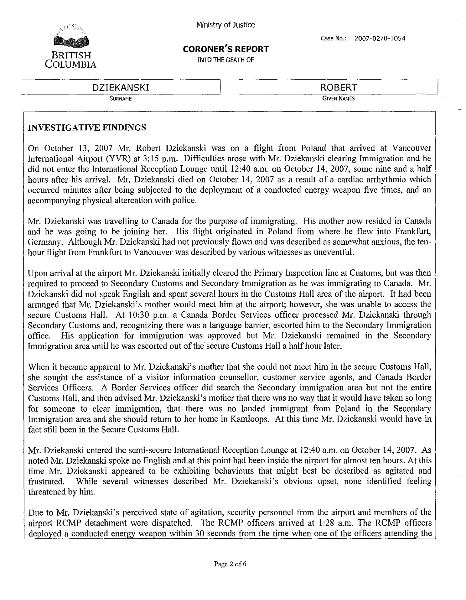

## **CORONER'S REPORT**

INTO THE OEATH OF

DZIEI<br>DZIEI<br>Su DZIEKANSKI

**SURNAME**

ROBERT

**GIVEN NAMES**

#### **INVESTIGATIVE FINDINGS**

On October 13, 2007 Mr. Robert Dziekanski was on a flight from Poland that arrived at Vancouver International Airport (YVR) at 3:15 p.m. Difficulties arose with Mr. Dziekanski clearing Immigration and he did not enter the International Reception Lounge until 12:40 a.m. on October 14, 2007, some nine and a half hours after his arrival. Mr. Dziekanski died on October 14, 2007 as a result of a cardiac arrhythmia which occurred minutes after being subjected to the deployment of a conducted energy weapon five times, and an accompanying physical altercation with police.

Mr. Dziekanski was travelling to Canada for the purpose of immigrating. His mother now resided in Canada and he was going to be joining her. His flight originated in Poland from where he flew into Frankfurt, Germany. Although Mr. Dziekanski had not previously flown and was described as somewhat anxious, the tenhour flight from Frankfurt to Vancouver was described by various witnesses as uneventful.

Upon arrival at the airport Mr. Dziekanski initially cleared the Primary Inspection line at Customs, but was then required to proceed to Secondary Customs and Secondary Immigration as he was immigrating to Canada. Mr. Dziekanski did not speak English and spent several hours in the Customs Hall area of the airport. It had been arranged that Mr. Dziekanski's mother would meet him at the airport; however, she was unable to access the secure Customs Hall. At 10:30 p.m. a Canada Border Services officer processed Mr. Dziekanski through Secondary Customs and, recognizing there was a language barrier, escorted him to the Secondary Immigration office. His application for immigration was approved but Mr. Dziekanski remained in the Secondary Immigration area until he was escorted out of the secure Customs Hall a half hour later.

When it became apparent to Mr. Dziekanski's mother that she could not meet him in the secure Customs Hall, she sought the assistance of a visitor information counsellor, customer service agents, and Canada Border Services Officers. A Border Services officer did search the Secondary immigration area but not the entire Customs Hall, and then advised Mr. Dziekanski's mother that there was no way that it would have taken so long for someone to clear immigration, that there was no landed immigrant from Poland in the Secondary Immigration area and she should retum to her home in Kamloops. At this time Mr. Dziekanski would have in fact still been in the Secure Customs Hall.

Mr. Dziekanski entered the semi-secure International Reception Lounge at 12:40 a.m. on October 14,2007. As noted Mr. Dziekanski spoke no English and at this point had been inside the airport for almost ten hours. At this time Mr. Dziekanski appeared to be exhibiting behaviours that might best be described as agitated and frustrated. While several witnesses described Mr. Dziekanski's obvious upset, none identified feeling threatened by him.

Due to Mr. Dziekanski's perceived state of agitation, security personnel from the airport and members of the airport RCMP detachment were dispatched. The RCMP officers arrived at 1:28 a.m. The RCMP officers deployed a conducted energy weapon within 30 seconds from the time when one of the officers attending the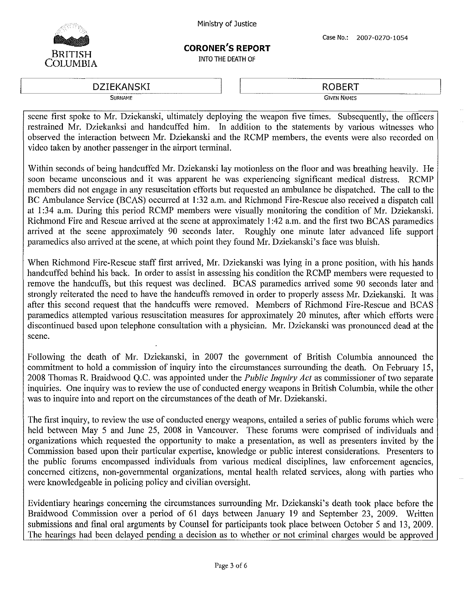

# **CORONER'S REPORT**

INTO THE DEATH OF

ROBERT ~--~:c:::::--.:==----- DZIEKANSKI

**SURNAME** 

**GIVEN NAMES**

scene first spoke to Mr. Dziekanski, ultimately deploying the weapon five times. Subsequently, the officers restrained Mr. Dziekanksi and handcuffed him. In addition to the statements by various witnesses who observed the interaction between Mr. Dziekanski and the RCMP members, the events were also recorded on video taken by another passenger in the airport terminal.

Within seconds of being handcuffed Mr. Dziekanski lay motionless on the floor and was breathing heavily. He soon became unconscious and it was apparent he was experiencing significant medical distress. RCMP members did not engage in any resuscitation efforts but requested an ambulance be dispatched. The call to the BC Ambulance Service (BCAS) occurred at I:32 a.m. and Richmond Fire-Rescue also received a dispatch call at 1:34 a.m. During this period RCMP members were visually monitoring the condition of Mr. Dziekanski. Richmond Fire and Rescue arrived at the scene at approximately I:42 a.m. and the first two BCAS paramedics arrived at the scene approximately 90 seconds later. Roughly one minute later advanced life support paramedics also arrived at the scene, at which point they found Mr. Dziekanski's face was bluish.

When Richmond Fire-Rescue staff first arrived, Mr. Dziekanski was lying in a prone position, with his hands handcuffed behind his back. In order to assist in assessing his condition the RCMP members were requested to remove the handcuffs, but this request was declined. BCAS paramedics arrived some 90 seconds later and strongly reiterated the need to have the handcuffs removed in order to properly assess Mr. Dziekanski. It was after this second request that the handcuffs were removed. Members of Richmond Fire-Rescue and BCAS paramedics attempted various resuscitation measures for approximately 20 minutes, after which efforts were discontinued based upon telephone consultation with a physician. Mr. Dziekanski was pronounced dead at the scene.

Following the death of Mr. Dziekanski, in 2007 the government of British Columbia announced the commitment to hold a commission of inquiry into the circumstances surrounding the death. On February 15, 2008 Thomas R. Braidwood Q.C. was appointed under the *Public Inquiry Act* as commissioner of two separate inquiries. One inquiry was to review the use of conducted energy weapons in British Columbia, while the other was to inquire into and report on the circumstances of the death of Mr. Dziekanski.

The first inquiry, to review the use of conducted energy weapons, entailed a series of public forums which were held between May 5 and June 25, 2008 in Vancouver. These forums were comprised of individuals and organizations which requested the opportunity to make a presentation, as well as presenters invited by the Commission based upon their particular expertise, knowledge or public interest considerations. Presenters to the public forums encompassed individuals from various medical disciplines, law enforcement agencies, concerned citizens, non-governmental organizations, mental health related services, along with parties who were knowledgeable in policing policy and civilian oversight.

Evidentiary hearings concerning the circumstances surrounding Mr. Dziekanski's death took place before the Braidwood Commission over a period of 61 days between January 19 and September 23, 2009. Written submissions and final oral arguments by Counsel for participants took place between October 5 and 13, 2009. The hearings had been delayed pending a decision as to whether or not criminal charges would be approved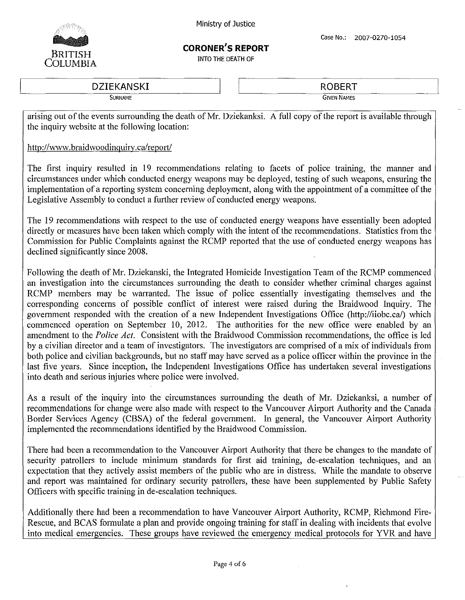

### **CORONER'S REPORT**

INTO THE DEATH OF

 $\frac{DZIEKANSKI}{SUPNAMF}$ 

ROBERT **GIVEN NAMES**

arising out of the events surrounding the death of Mr. Dziekanksi. A full copy of the report is available through the inquiry website at the following location:

#### http://www.braidwoodinguiry.ca/report/

The first inquiry resulted in 19 recommendations relating to facets of police training, the manner and circumstances under which conducted energy weapons may be deployed, testing of such weapons, ensuring the implementation of a reporting system concerning deployment, along with the appointment of a committee of the Legislative Assembly to conduct a further review of conducted energy weapons.

The 19 recommendations with respect to the use of conducted energy weapons have essentially been adopted directly or measures have been taken which comply with the intent of the recommendations. Statistics from the Commission for Public Complaints against the RCMP reported that the use of conducted energy weapons has declined significantly since 2008.

Following the death of Mr. Dziekanski, the Integrated Homicide Investigation Team of the RCMP commenced an investigation into the circumstances surrounding the death to consider whether criminal charges against RCMP members may be warranted. The issue of police essentially investigating themselves and the corresponding concerns of possible conflict of interest were raised during the Braidwood Inquiry. The government responded with the creation of a new Independent Investigations Office (http://iiobc.ca/) which commenced operation on September 10, 2012. The authorities for the new office were enabled by an amendment to the *Police Act.* Consistent with the Braidwood Commission recommendations, the office is led by a civilian director and a team of investigators. The investigators are comprised of a mix of individuals from both police and civilian backgrounds, but no staff may have served as a police officer within the province in the last five years. Since inception, the Independent Investigations Office has undertaken several investigations into death and serious injuries where police were involved.

As a result of the inquiry into the circumstances surrounding the death of Mr. Dziekanksi, a number of recommendations for change were also made with respect to the Vancouver Airport Authority and the Canada Border Services Agency (CBSA) of the federal government. In general, the Vancouver Airport Authority implemented the recommendations identified by the Braidwood Commission.

There had been a recommendation to the Vancouver Airport Authority that there be changes to the mandate of security patrollers to include minimum standards for first aid training, de-escalation techniques, and an expectation that they actively assist members of the public who are in distress. While the mandate to observe and report was maintained for ordinary security patrollers, these have been supplemented by Public Safety Officers with specific training in de-escalation techniques.

Additionally there had been a recommendation to have Vancouver Airport Authority, RCMP, Richmond Fire-Rescue, and BCAS formulate a plan and provide ongoing training for staff in dealing with incidents that evolve into medical emergencies. These groups have reviewed the emergency medical protocols for YVR and have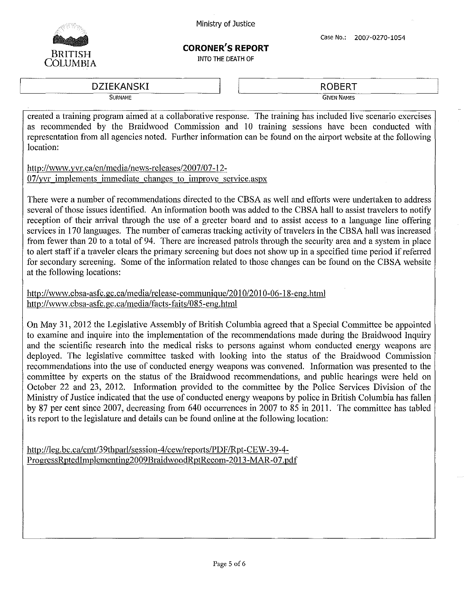

#### **CORONER'S REPORT**

INTO THE DEATH OF

DZIEKANSKI **SURNAME**

**ROBERT GIVEN NAMES**

created a training program aimed at a collaborative response. The training has included live scenario exercises as recommended by the Braidwood Commission and 10 training sessions have been conducted with representation from all agencies noted. Further information can be found on the airport website at the following location:

http://www.yvr.calen/medialnews-releases/2007/07-12- *07/yvr* implements immediate changes to improve service.aspx

There were a number of recommendations directed to the CBSA as well and efforts were undertaken to address several of those issues identified. An information booth was added to the CBSA hall to assist travelers to notify reception of their arrival through the use of a greeter board and to assist access to a language line offering services in 170 languages. The number of cameras tracking activity of travelers in the CBSA hall was increased from fewer than 20 to a total of 94. There are increased patrols through the security area and a system in place to alert staff if a traveler clears the primary screening but does not show up in a specified time period if referred for secondary screening. Some of the information related to those changes can be found on the CBSA website at the following locations:

http://www.cbsa-asfc.gc.calmedialrelease-communigue/2010/2010-06-18-eng.html http://www.cbsa-asfc.gc.ca/media/facts-faits/085-eng.html

On May 31, 2012 the Legislative Assembly of British Columbia agreed that a Special Committee be appointed to examine and inquire into the implementation of the recommendations made during the Braidwood Inquiry and the scientific research into the medical risks to persons against whom conducted energy weapons are deployed. The legislative committee tasked with looking into the status of the Braidwood Commission recommendations into the use of conducted energy weapons was convened. Information was presented to the committee by experts on the status of the Braidwood recommendations, and public hearings were held on October 22 and 23, 2012. Information provided to the committee by the Police Services Division of the Ministry of Justice indicated that the use of conducted energy weapons by police in British Columbia has fallen by 87 per cent since 2007, decreasing from 640 occurrences in 2007 to 85 in 2011. The committee has tabled its report to the legislature and details can be found online at the following location:

http://leg.bc.ca/cmt/39thparl/session-4/cew/reports/PDF/Rpt-CEW-39-4-ProgressRptedImplementing2009BraidwoodRptRecom-2013-MAR-07.pdf